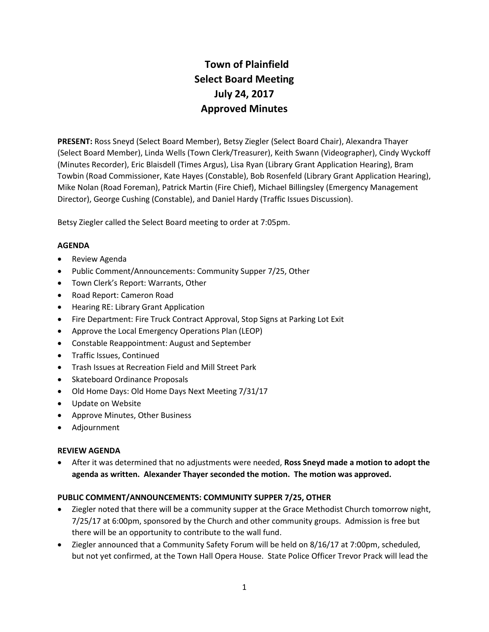# **Town of Plainfield Select Board Meeting July 24, 2017 Approved Minutes**

**PRESENT:** Ross Sneyd (Select Board Member), Betsy Ziegler (Select Board Chair), Alexandra Thayer (Select Board Member), Linda Wells (Town Clerk/Treasurer), Keith Swann (Videographer), Cindy Wyckoff (Minutes Recorder), Eric Blaisdell (Times Argus), Lisa Ryan (Library Grant Application Hearing), Bram Towbin (Road Commissioner, Kate Hayes (Constable), Bob Rosenfeld (Library Grant Application Hearing), Mike Nolan (Road Foreman), Patrick Martin (Fire Chief), Michael Billingsley (Emergency Management Director), George Cushing (Constable), and Daniel Hardy (Traffic Issues Discussion).

Betsy Ziegler called the Select Board meeting to order at 7:05pm.

# **AGENDA**

- Review Agenda
- Public Comment/Announcements: Community Supper 7/25, Other
- Town Clerk's Report: Warrants, Other
- Road Report: Cameron Road
- Hearing RE: Library Grant Application
- Fire Department: Fire Truck Contract Approval, Stop Signs at Parking Lot Exit
- Approve the Local Emergency Operations Plan (LEOP)
- Constable Reappointment: August and September
- Traffic Issues, Continued
- Trash Issues at Recreation Field and Mill Street Park
- Skateboard Ordinance Proposals
- Old Home Days: Old Home Days Next Meeting 7/31/17
- Update on Website
- Approve Minutes, Other Business
- Adjournment

## **REVIEW AGENDA**

• After it was determined that no adjustments were needed, **Ross Sneyd made a motion to adopt the agenda as written. Alexander Thayer seconded the motion. The motion was approved.**

## **PUBLIC COMMENT/ANNOUNCEMENTS: COMMUNITY SUPPER 7/25, OTHER**

- Ziegler noted that there will be a community supper at the Grace Methodist Church tomorrow night, 7/25/17 at 6:00pm, sponsored by the Church and other community groups. Admission is free but there will be an opportunity to contribute to the wall fund.
- Ziegler announced that a Community Safety Forum will be held on 8/16/17 at 7:00pm, scheduled, but not yet confirmed, at the Town Hall Opera House. State Police Officer Trevor Prack will lead the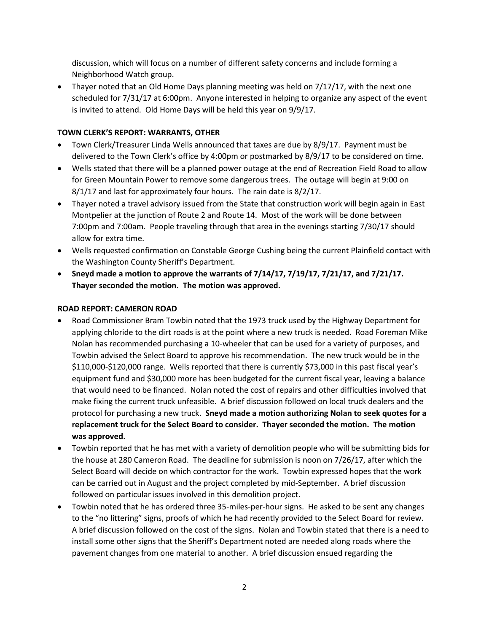discussion, which will focus on a number of different safety concerns and include forming a Neighborhood Watch group.

• Thayer noted that an Old Home Days planning meeting was held on 7/17/17, with the next one scheduled for 7/31/17 at 6:00pm. Anyone interested in helping to organize any aspect of the event is invited to attend. Old Home Days will be held this year on 9/9/17.

# **TOWN CLERK'S REPORT: WARRANTS, OTHER**

- Town Clerk/Treasurer Linda Wells announced that taxes are due by 8/9/17. Payment must be delivered to the Town Clerk's office by 4:00pm or postmarked by 8/9/17 to be considered on time.
- Wells stated that there will be a planned power outage at the end of Recreation Field Road to allow for Green Mountain Power to remove some dangerous trees. The outage will begin at 9:00 on 8/1/17 and last for approximately four hours. The rain date is 8/2/17.
- Thayer noted a travel advisory issued from the State that construction work will begin again in East Montpelier at the junction of Route 2 and Route 14. Most of the work will be done between 7:00pm and 7:00am. People traveling through that area in the evenings starting 7/30/17 should allow for extra time.
- Wells requested confirmation on Constable George Cushing being the current Plainfield contact with the Washington County Sheriff's Department.
- **Sneyd made a motion to approve the warrants of 7/14/17, 7/19/17, 7/21/17, and 7/21/17. Thayer seconded the motion. The motion was approved.**

## **ROAD REPORT: CAMERON ROAD**

- Road Commissioner Bram Towbin noted that the 1973 truck used by the Highway Department for applying chloride to the dirt roads is at the point where a new truck is needed. Road Foreman Mike Nolan has recommended purchasing a 10-wheeler that can be used for a variety of purposes, and Towbin advised the Select Board to approve his recommendation. The new truck would be in the \$110,000-\$120,000 range. Wells reported that there is currently \$73,000 in this past fiscal year's equipment fund and \$30,000 more has been budgeted for the current fiscal year, leaving a balance that would need to be financed. Nolan noted the cost of repairs and other difficulties involved that make fixing the current truck unfeasible. A brief discussion followed on local truck dealers and the protocol for purchasing a new truck. **Sneyd made a motion authorizing Nolan to seek quotes for a replacement truck for the Select Board to consider. Thayer seconded the motion. The motion was approved.**
- Towbin reported that he has met with a variety of demolition people who will be submitting bids for the house at 280 Cameron Road. The deadline for submission is noon on 7/26/17, after which the Select Board will decide on which contractor for the work. Towbin expressed hopes that the work can be carried out in August and the project completed by mid-September. A brief discussion followed on particular issues involved in this demolition project.
- Towbin noted that he has ordered three 35-miles-per-hour signs. He asked to be sent any changes to the "no littering" signs, proofs of which he had recently provided to the Select Board for review. A brief discussion followed on the cost of the signs. Nolan and Towbin stated that there is a need to install some other signs that the Sheriff's Department noted are needed along roads where the pavement changes from one material to another. A brief discussion ensued regarding the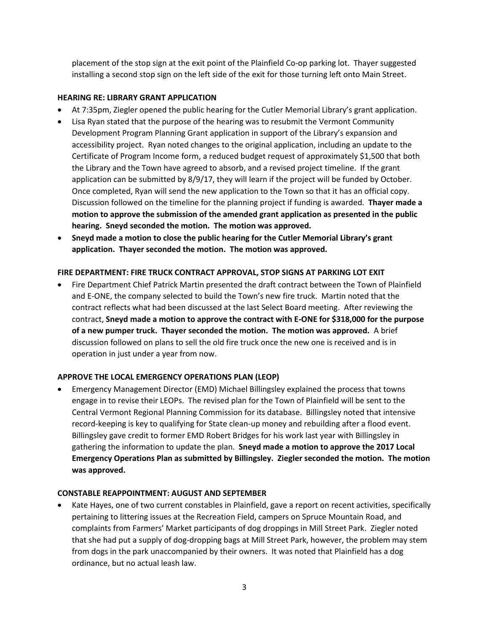placement of the stop sign at the exit point of the Plainfield Co-op parking lot. Thayer suggested installing a second stop sign on the left side of the exit for those turning left onto Main Street.

## **HEARING RE: LIBRARY GRANT APPLICATION**

- At 7:35pm, Ziegler opened the public hearing for the Cutler Memorial Library's grant application.
- Lisa Ryan stated that the purpose of the hearing was to resubmit the Vermont Community Development Program Planning Grant application in support of the Library's expansion and accessibility project. Ryan noted changes to the original application, including an update to the Certificate of Program Income form, a reduced budget request of approximately \$1,500 that both the Library and the Town have agreed to absorb, and a revised project timeline. If the grant application can be submitted by 8/9/17, they will learn if the project will be funded by October. Once completed, Ryan will send the new application to the Town so that it has an official copy. Discussion followed on the timeline for the planning project if funding is awarded. **Thayer made a motion to approve the submission of the amended grant application as presented in the public hearing. Sneyd seconded the motion. The motion was approved.**
- **Sneyd made a motion to close the public hearing for the Cutler Memorial Library's grant application. Thayer seconded the motion. The motion was approved.**

# **FIRE DEPARTMENT: FIRE TRUCK CONTRACT APPROVAL, STOP SIGNS AT PARKING LOT EXIT**

• Fire Department Chief Patrick Martin presented the draft contract between the Town of Plainfield and E-ONE, the company selected to build the Town's new fire truck. Martin noted that the contract reflects what had been discussed at the last Select Board meeting. After reviewing the contract, **Sneyd made a motion to approve the contract with E-ONE for \$318,000 for the purpose of a new pumper truck. Thayer seconded the motion. The motion was approved.** A brief discussion followed on plans to sell the old fire truck once the new one is received and is in operation in just under a year from now.

## **APPROVE THE LOCAL EMERGENCY OPERATIONS PLAN (LEOP)**

• Emergency Management Director (EMD) Michael Billingsley explained the process that towns engage in to revise their LEOPs. The revised plan for the Town of Plainfield will be sent to the Central Vermont Regional Planning Commission for its database. Billingsley noted that intensive record-keeping is key to qualifying for State clean-up money and rebuilding after a flood event. Billingsley gave credit to former EMD Robert Bridges for his work last year with Billingsley in gathering the information to update the plan. **Sneyd made a motion to approve the 2017 Local Emergency Operations Plan as submitted by Billingsley. Ziegler seconded the motion. The motion was approved.** 

## **CONSTABLE REAPPOINTMENT: AUGUST AND SEPTEMBER**

• Kate Hayes, one of two current constables in Plainfield, gave a report on recent activities, specifically pertaining to littering issues at the Recreation Field, campers on Spruce Mountain Road, and complaints from Farmers' Market participants of dog droppings in Mill Street Park. Ziegler noted that she had put a supply of dog-dropping bags at Mill Street Park, however, the problem may stem from dogs in the park unaccompanied by their owners. It was noted that Plainfield has a dog ordinance, but no actual leash law.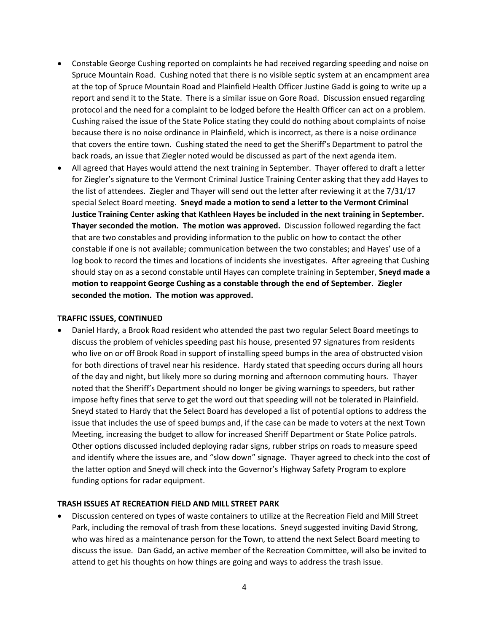- Constable George Cushing reported on complaints he had received regarding speeding and noise on Spruce Mountain Road. Cushing noted that there is no visible septic system at an encampment area at the top of Spruce Mountain Road and Plainfield Health Officer Justine Gadd is going to write up a report and send it to the State. There is a similar issue on Gore Road. Discussion ensued regarding protocol and the need for a complaint to be lodged before the Health Officer can act on a problem. Cushing raised the issue of the State Police stating they could do nothing about complaints of noise because there is no noise ordinance in Plainfield, which is incorrect, as there is a noise ordinance that covers the entire town. Cushing stated the need to get the Sheriff's Department to patrol the back roads, an issue that Ziegler noted would be discussed as part of the next agenda item.
- All agreed that Hayes would attend the next training in September. Thayer offered to draft a letter for Ziegler's signature to the Vermont Criminal Justice Training Center asking that they add Hayes to the list of attendees. Ziegler and Thayer will send out the letter after reviewing it at the 7/31/17 special Select Board meeting. **Sneyd made a motion to send a letter to the Vermont Criminal Justice Training Center asking that Kathleen Hayes be included in the next training in September. Thayer seconded the motion. The motion was approved.** Discussion followed regarding the fact that are two constables and providing information to the public on how to contact the other constable if one is not available; communication between the two constables; and Hayes' use of a log book to record the times and locations of incidents she investigates. After agreeing that Cushing should stay on as a second constable until Hayes can complete training in September, **Sneyd made a motion to reappoint George Cushing as a constable through the end of September. Ziegler seconded the motion. The motion was approved.**

#### **TRAFFIC ISSUES, CONTINUED**

• Daniel Hardy, a Brook Road resident who attended the past two regular Select Board meetings to discuss the problem of vehicles speeding past his house, presented 97 signatures from residents who live on or off Brook Road in support of installing speed bumps in the area of obstructed vision for both directions of travel near his residence. Hardy stated that speeding occurs during all hours of the day and night, but likely more so during morning and afternoon commuting hours. Thayer noted that the Sheriff's Department should no longer be giving warnings to speeders, but rather impose hefty fines that serve to get the word out that speeding will not be tolerated in Plainfield. Sneyd stated to Hardy that the Select Board has developed a list of potential options to address the issue that includes the use of speed bumps and, if the case can be made to voters at the next Town Meeting, increasing the budget to allow for increased Sheriff Department or State Police patrols. Other options discussed included deploying radar signs, rubber strips on roads to measure speed and identify where the issues are, and "slow down" signage. Thayer agreed to check into the cost of the latter option and Sneyd will check into the Governor's Highway Safety Program to explore funding options for radar equipment.

#### **TRASH ISSUES AT RECREATION FIELD AND MILL STREET PARK**

• Discussion centered on types of waste containers to utilize at the Recreation Field and Mill Street Park, including the removal of trash from these locations. Sneyd suggested inviting David Strong, who was hired as a maintenance person for the Town, to attend the next Select Board meeting to discuss the issue. Dan Gadd, an active member of the Recreation Committee, will also be invited to attend to get his thoughts on how things are going and ways to address the trash issue.